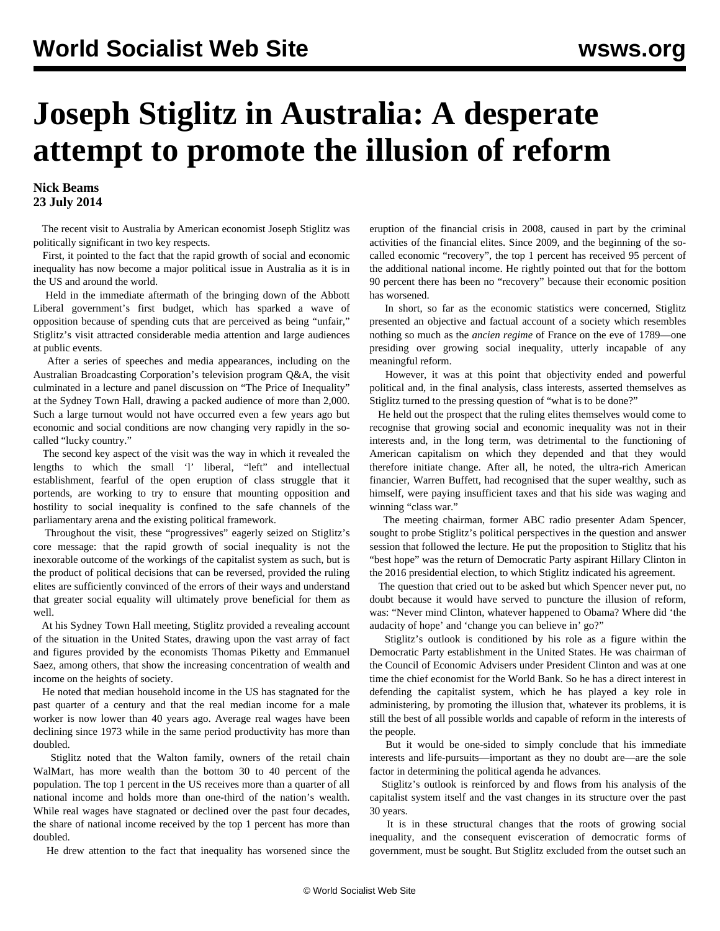## **Joseph Stiglitz in Australia: A desperate attempt to promote the illusion of reform**

## **Nick Beams 23 July 2014**

 The recent visit to Australia by American economist Joseph Stiglitz was politically significant in two key respects.

 First, it pointed to the fact that the rapid growth of social and economic inequality has now become a major political issue in Australia as it is in the US and around the world.

 Held in the immediate aftermath of the bringing down of the Abbott Liberal government's first budget, which has sparked a wave of opposition because of spending cuts that are perceived as being "unfair," Stiglitz's visit attracted considerable media attention and large audiences at public events.

 After a series of speeches and media appearances, including on the Australian Broadcasting Corporation's television program Q&A, the visit culminated in a lecture and panel discussion on "The Price of Inequality" at the Sydney Town Hall, drawing a packed audience of more than 2,000. Such a large turnout would not have occurred even a few years ago but economic and social conditions are now changing very rapidly in the socalled "lucky country."

 The second key aspect of the visit was the way in which it revealed the lengths to which the small 'l' liberal, "left" and intellectual establishment, fearful of the open eruption of class struggle that it portends, are working to try to ensure that mounting opposition and hostility to social inequality is confined to the safe channels of the parliamentary arena and the existing political framework.

 Throughout the visit, these "progressives" eagerly seized on Stiglitz's core message: that the rapid growth of social inequality is not the inexorable outcome of the workings of the capitalist system as such, but is the product of political decisions that can be reversed, provided the ruling elites are sufficiently convinced of the errors of their ways and understand that greater social equality will ultimately prove beneficial for them as well.

 At his Sydney Town Hall meeting, Stiglitz provided a revealing account of the situation in the United States, drawing upon the vast array of fact and figures provided by the economists Thomas Piketty and Emmanuel Saez, among others, that show the increasing concentration of wealth and income on the heights of society.

 He noted that median household income in the US has stagnated for the past quarter of a century and that the real median income for a male worker is now lower than 40 years ago. Average real wages have been declining since 1973 while in the same period productivity has more than doubled.

 Stiglitz noted that the Walton family, owners of the retail chain WalMart, has more wealth than the bottom 30 to 40 percent of the population. The top 1 percent in the US receives more than a quarter of all national income and holds more than one-third of the nation's wealth. While real wages have stagnated or declined over the past four decades, the share of national income received by the top 1 percent has more than doubled.

He drew attention to the fact that inequality has worsened since the

eruption of the financial crisis in 2008, caused in part by the criminal activities of the financial elites. Since 2009, and the beginning of the socalled economic "recovery", the top 1 percent has received 95 percent of the additional national income. He rightly pointed out that for the bottom 90 percent there has been no "recovery" because their economic position has worsened.

 In short, so far as the economic statistics were concerned, Stiglitz presented an objective and factual account of a society which resembles nothing so much as the *ancien regime* of France on the eve of 1789—one presiding over growing social inequality, utterly incapable of any meaningful reform.

 However, it was at this point that objectivity ended and powerful political and, in the final analysis, class interests, asserted themselves as Stiglitz turned to the pressing question of "what is to be done?"

 He held out the prospect that the ruling elites themselves would come to recognise that growing social and economic inequality was not in their interests and, in the long term, was detrimental to the functioning of American capitalism on which they depended and that they would therefore initiate change. After all, he noted, the ultra-rich American financier, Warren Buffett, had recognised that the super wealthy, such as himself, were paying insufficient taxes and that his side was waging and winning "class war."

 The meeting chairman, former ABC radio presenter Adam Spencer, sought to probe Stiglitz's political perspectives in the question and answer session that followed the lecture. He put the proposition to Stiglitz that his "best hope" was the return of Democratic Party aspirant Hillary Clinton in the 2016 presidential election, to which Stiglitz indicated his agreement.

 The question that cried out to be asked but which Spencer never put, no doubt because it would have served to puncture the illusion of reform, was: "Never mind Clinton, whatever happened to Obama? Where did 'the audacity of hope' and 'change you can believe in' go?"

 Stiglitz's outlook is conditioned by his role as a figure within the Democratic Party establishment in the United States. He was chairman of the Council of Economic Advisers under President Clinton and was at one time the chief economist for the World Bank. So he has a direct interest in defending the capitalist system, which he has played a key role in administering, by promoting the illusion that, whatever its problems, it is still the best of all possible worlds and capable of reform in the interests of the people.

 But it would be one-sided to simply conclude that his immediate interests and life-pursuits—important as they no doubt are—are the sole factor in determining the political agenda he advances.

 Stiglitz's outlook is reinforced by and flows from his analysis of the capitalist system itself and the vast changes in its structure over the past 30 years.

 It is in these structural changes that the roots of growing social inequality, and the consequent evisceration of democratic forms of government, must be sought. But Stiglitz excluded from the outset such an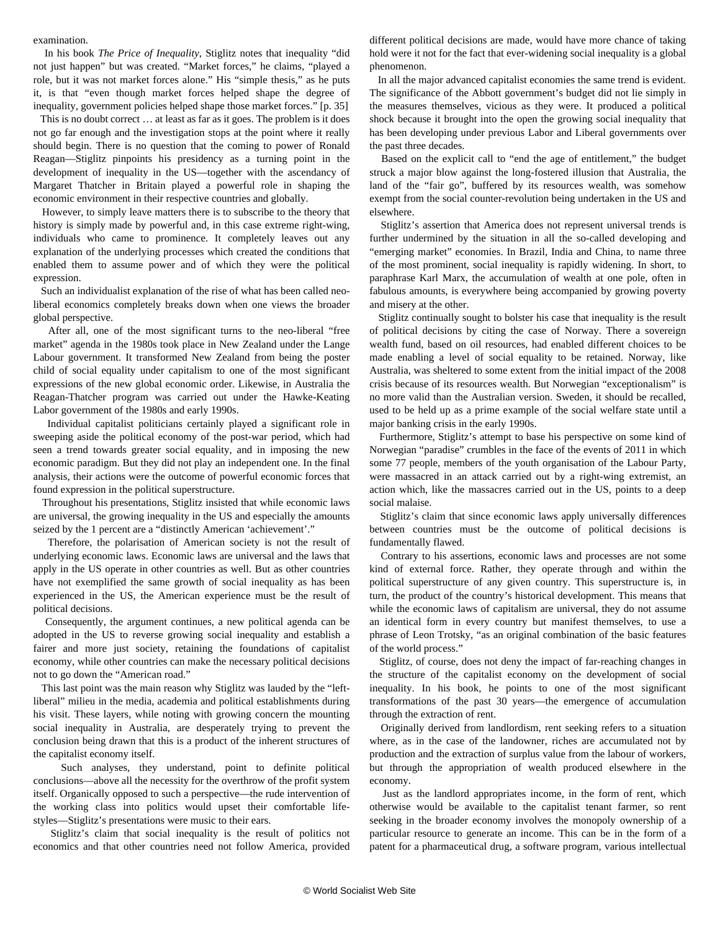examination.

 In his book *The Price of Inequality*, Stiglitz notes that inequality "did not just happen" but was created. "Market forces," he claims, "played a role, but it was not market forces alone." His "simple thesis," as he puts it, is that "even though market forces helped shape the degree of inequality, government policies helped shape those market forces." [p. 35]

 This is no doubt correct … at least as far as it goes. The problem is it does not go far enough and the investigation stops at the point where it really should begin. There is no question that the coming to power of Ronald Reagan—Stiglitz pinpoints his presidency as a turning point in the development of inequality in the US—together with the ascendancy of Margaret Thatcher in Britain played a powerful role in shaping the economic environment in their respective countries and globally.

 However, to simply leave matters there is to subscribe to the theory that history is simply made by powerful and, in this case extreme right-wing, individuals who came to prominence. It completely leaves out any explanation of the underlying processes which created the conditions that enabled them to assume power and of which they were the political expression.

 Such an individualist explanation of the rise of what has been called neoliberal economics completely breaks down when one views the broader global perspective.

 After all, one of the most significant turns to the neo-liberal "free market" agenda in the 1980s took place in New Zealand under the Lange Labour government. It transformed New Zealand from being the poster child of social equality under capitalism to one of the most significant expressions of the new global economic order. Likewise, in Australia the Reagan-Thatcher program was carried out under the Hawke-Keating Labor government of the 1980s and early 1990s.

 Individual capitalist politicians certainly played a significant role in sweeping aside the political economy of the post-war period, which had seen a trend towards greater social equality, and in imposing the new economic paradigm. But they did not play an independent one. In the final analysis, their actions were the outcome of powerful economic forces that found expression in the political superstructure.

 Throughout his presentations, Stiglitz insisted that while economic laws are universal, the growing inequality in the US and especially the amounts seized by the 1 percent are a "distinctly American 'achievement'."

 Therefore, the polarisation of American society is not the result of underlying economic laws. Economic laws are universal and the laws that apply in the US operate in other countries as well. But as other countries have not exemplified the same growth of social inequality as has been experienced in the US, the American experience must be the result of political decisions.

 Consequently, the argument continues, a new political agenda can be adopted in the US to reverse growing social inequality and establish a fairer and more just society, retaining the foundations of capitalist economy, while other countries can make the necessary political decisions not to go down the "American road."

 This last point was the main reason why Stiglitz was lauded by the "leftliberal" milieu in the media, academia and political establishments during his visit. These layers, while noting with growing concern the mounting social inequality in Australia, are desperately trying to prevent the conclusion being drawn that this is a product of the inherent structures of the capitalist economy itself.

 Such analyses, they understand, point to definite political conclusions—above all the necessity for the overthrow of the profit system itself. Organically opposed to such a perspective—the rude intervention of the working class into politics would upset their comfortable lifestyles—Stiglitz's presentations were music to their ears.

 Stiglitz's claim that social inequality is the result of politics not economics and that other countries need not follow America, provided different political decisions are made, would have more chance of taking hold were it not for the fact that ever-widening social inequality is a global phenomenon.

 In all the major advanced capitalist economies the same trend is evident. The significance of the Abbott government's budget did not lie simply in the measures themselves, vicious as they were. It produced a political shock because it brought into the open the growing social inequality that has been developing under previous Labor and Liberal governments over the past three decades.

 Based on the explicit call to "end the age of entitlement," the budget struck a major blow against the long-fostered illusion that Australia, the land of the "fair go", buffered by its resources wealth, was somehow exempt from the social counter-revolution being undertaken in the US and elsewhere.

 Stiglitz's assertion that America does not represent universal trends is further undermined by the situation in all the so-called developing and "emerging market" economies. In Brazil, India and China, to name three of the most prominent, social inequality is rapidly widening. In short, to paraphrase Karl Marx, the accumulation of wealth at one pole, often in fabulous amounts, is everywhere being accompanied by growing poverty and misery at the other.

 Stiglitz continually sought to bolster his case that inequality is the result of political decisions by citing the case of Norway. There a sovereign wealth fund, based on oil resources, had enabled different choices to be made enabling a level of social equality to be retained. Norway, like Australia, was sheltered to some extent from the initial impact of the 2008 crisis because of its resources wealth. But Norwegian "exceptionalism" is no more valid than the Australian version. Sweden, it should be recalled, used to be held up as a prime example of the social welfare state until a major banking crisis in the early 1990s.

 Furthermore, Stiglitz's attempt to base his perspective on some kind of Norwegian "paradise" crumbles in the face of the events of 2011 in which some 77 people, members of the youth organisation of the Labour Party, were massacred in an attack carried out by a right-wing extremist, an action which, like the massacres carried out in the US, points to a deep social malaise.

 Stiglitz's claim that since economic laws apply universally differences between countries must be the outcome of political decisions is fundamentally flawed.

 Contrary to his assertions, economic laws and processes are not some kind of external force. Rather, they operate through and within the political superstructure of any given country. This superstructure is, in turn, the product of the country's historical development. This means that while the economic laws of capitalism are universal, they do not assume an identical form in every country but manifest themselves, to use a phrase of Leon Trotsky, "as an original combination of the basic features of the world process."

 Stiglitz, of course, does not deny the impact of far-reaching changes in the structure of the capitalist economy on the development of social inequality. In his book, he points to one of the most significant transformations of the past 30 years—the emergence of accumulation through the extraction of rent.

 Originally derived from landlordism, rent seeking refers to a situation where, as in the case of the landowner, riches are accumulated not by production and the extraction of surplus value from the labour of workers, but through the appropriation of wealth produced elsewhere in the economy.

 Just as the landlord appropriates income, in the form of rent, which otherwise would be available to the capitalist tenant farmer, so rent seeking in the broader economy involves the monopoly ownership of a particular resource to generate an income. This can be in the form of a patent for a pharmaceutical drug, a software program, various intellectual